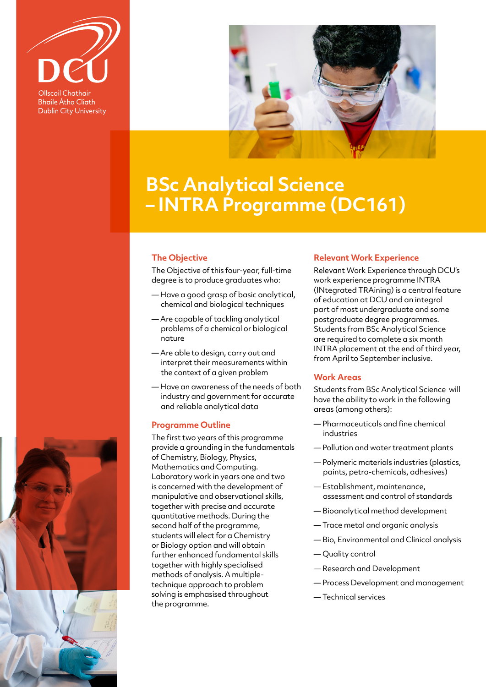

**Bhaile Átha Cliath Dublin City University** 



# **BSc Analytical Science – INTRA Programme (DC161)**

## **The Objective**

The Objective of this four-year, full-time degree is to produce graduates who:

- Have a good grasp of basic analytical, chemical and biological techniques
- Are capable of tackling analytical problems of a chemical or biological nature
- Are able to design, carry out and interpret their measurements within the context of a given problem
- Have an awareness of the needs of both industry and government for accurate and reliable analytical data

## **Programme Outline**

The first two years of this programme provide a grounding in the fundamentals of Chemistry, Biology, Physics, Mathematics and Computing. Laboratory work in years one and two is concerned with the development of manipulative and observational skills, together with precise and accurate quantitative methods. During the second half of the programme, students will elect for a Chemistry or Biology option and will obtain further enhanced fundamental skills together with highly specialised methods of analysis. A multipletechnique approach to problem solving is emphasised throughout the programme.

#### **Relevant Work Experience**

Relevant Work Experience through DCU's work experience programme INTRA (INtegrated TRAining) is a central feature of education at DCU and an integral part of most undergraduate and some postgraduate degree programmes. Students from BSc Analytical Science are required to complete a six month INTRA placement at the end of third year, from April to September inclusive.

#### **Work Areas**

Students from BSc Analytical Science will have the ability to work in the following areas (among others):

- Pharmaceuticals and fine chemical industries
- Pollution and water treatment plants
- Polymeric materials industries (plastics, paints, petro-chemicals, adhesives)
- Establishment, maintenance, assessment and control of standards
- Bioanalytical method development
- Trace metal and organic analysis
- Bio, Environmental and Clinical analysis
- Quality control
- Research and Development
- Process Development and management
- Technical services